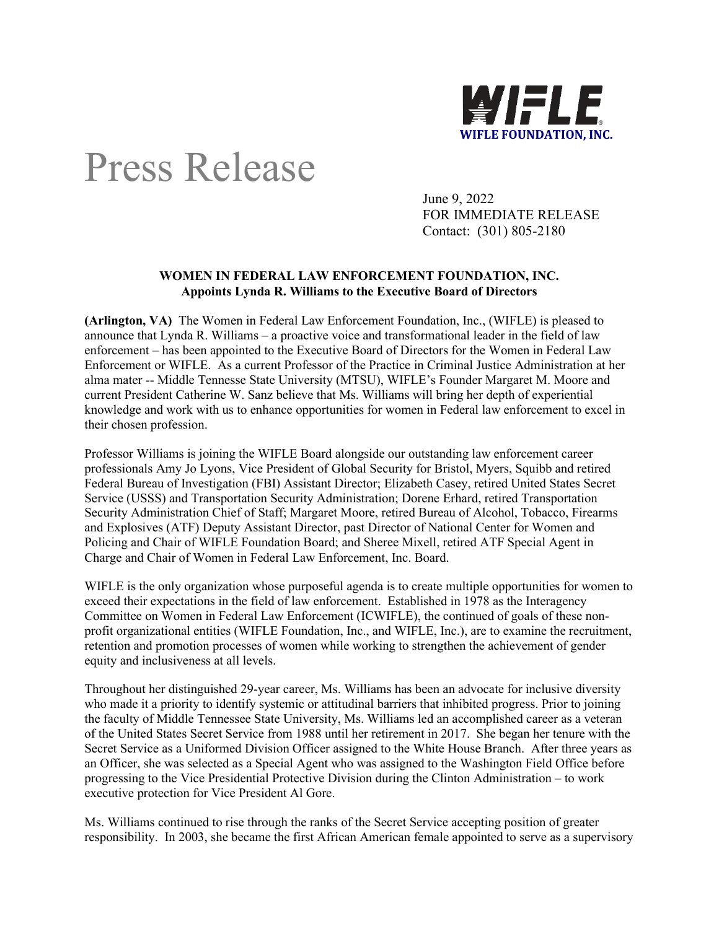

## Press Release

June 9, 2022 FOR IMMEDIATE RELEASE Contact: (301) 805-2180

## **WOMEN IN FEDERAL LAW ENFORCEMENT FOUNDATION, INC. Appoints Lynda R. Williams to the Executive Board of Directors**

**(Arlington, VA)** The Women in Federal Law Enforcement Foundation, Inc., (WIFLE) is pleased to announce that Lynda R. Williams – a proactive voice and transformational leader in the field of law enforcement – has been appointed to the Executive Board of Directors for the Women in Federal Law Enforcement or WIFLE. As a current Professor of the Practice in Criminal Justice Administration at her alma mater -- Middle Tennesse State University (MTSU), WIFLE's Founder Margaret M. Moore and current President Catherine W. Sanz believe that Ms. Williams will bring her depth of experiential knowledge and work with us to enhance opportunities for women in Federal law enforcement to excel in their chosen profession.

Professor Williams is joining the WIFLE Board alongside our outstanding law enforcement career professionals Amy Jo Lyons, Vice President of Global Security for Bristol, Myers, Squibb and retired Federal Bureau of Investigation (FBI) Assistant Director; Elizabeth Casey, retired United States Secret Service (USSS) and Transportation Security Administration; Dorene Erhard, retired Transportation Security Administration Chief of Staff; Margaret Moore, retired Bureau of Alcohol, Tobacco, Firearms and Explosives (ATF) Deputy Assistant Director, past Director of National Center for Women and Policing and Chair of WIFLE Foundation Board; and Sheree Mixell, retired ATF Special Agent in Charge and Chair of Women in Federal Law Enforcement, Inc. Board.

WIFLE is the only organization whose purposeful agenda is to create multiple opportunities for women to exceed their expectations in the field of law enforcement. Established in 1978 as the Interagency Committee on Women in Federal Law Enforcement (ICWIFLE), the continued of goals of these nonprofit organizational entities (WIFLE Foundation, Inc., and WIFLE, Inc.), are to examine the recruitment, retention and promotion processes of women while working to strengthen the achievement of gender equity and inclusiveness at all levels.

Throughout her distinguished 29-year career, Ms. Williams has been an advocate for inclusive diversity who made it a priority to identify systemic or attitudinal barriers that inhibited progress. Prior to joining the faculty of Middle Tennessee State University, Ms. Williams led an accomplished career as a veteran of the United States Secret Service from 1988 until her retirement in 2017. She began her tenure with the Secret Service as a Uniformed Division Officer assigned to the White House Branch. After three years as an Officer, she was selected as a Special Agent who was assigned to the Washington Field Office before progressing to the Vice Presidential Protective Division during the Clinton Administration – to work executive protection for Vice President Al Gore.

Ms. Williams continued to rise through the ranks of the Secret Service accepting position of greater responsibility. In 2003, she became the first African American female appointed to serve as a supervisory